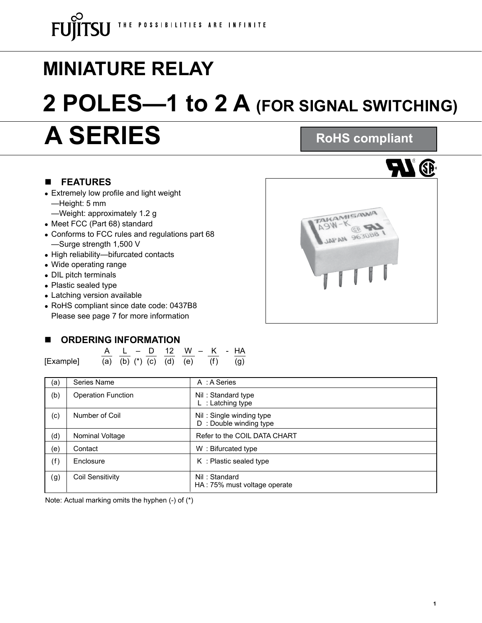# **MINIATURE RELAY 2 POLES—1 to 2 A (FOR SIGNAL SWITCHING)**

## **A SERIES**

### n **FEATURES**

- Extremely low profile and light weight —Height: 5 mm
	- —Weight: approximately 1.2 g
- Meet FCC (Part 68) standard
- Conforms to FCC rules and regulations part 68 —Surge strength 1,500 V
- High reliability—bifurcated contacts
- Wide operating range
- DIL pitch terminals
- Plastic sealed type
- Latching version available
- RoHS compliant since date code: 0437B8 Please see page 7 for more information

### **N** ORDERING INFORMATION

A L – D 12 W – K - HA [Example] (a) (b) (\*) (c) (d) (e) (f) (g)

| (a) | Series Name               | A : A Series                                       |
|-----|---------------------------|----------------------------------------------------|
| (b) | <b>Operation Function</b> | Nil: Standard type<br>$L$ : Latching type          |
| (c) | Number of Coil            | Nil: Single winding type<br>D: Double winding type |
| (d) | Nominal Voltage           | Refer to the COIL DATA CHART                       |
| (e) | Contact                   | W: Bifurcated type                                 |
| (f) | Enclosure                 | K: Plastic sealed type                             |
| (g) | Coil Sensitivity          | Nil: Standard<br>HA: 75% must voltage operate      |

Note: Actual marking omits the hyphen  $(-)$  of  $(*)$ 



**RoHS compliant**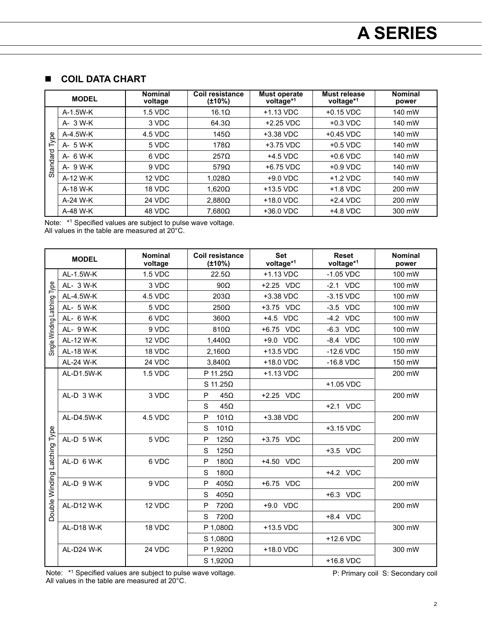### **n** COIL DATA CHART

|          | <b>MODEL</b> | <b>Nominal</b><br>voltage | Coil resistance<br>(±10%)                                                                               | <b>Must operate</b><br>voltage*1 | Must release<br>voltage*1 | <b>Nominal</b><br>power |
|----------|--------------|---------------------------|---------------------------------------------------------------------------------------------------------|----------------------------------|---------------------------|-------------------------|
|          | A-1.5W-K     | 1.5 VDC                   | $16.1\Omega$                                                                                            | $+1.13$ VDC                      | $+0.15$ VDC               | 140 mW                  |
|          | A- 3 W-K     | 3 VDC                     | $64.3\Omega$                                                                                            | $+2.25$ VDC                      | $+0.3$ VDC                | 140 mW                  |
| Type     | A-4.5W-K     | 4.5 VDC                   | $145\Omega$                                                                                             | +3.38 VDC                        | $+0.45$ VDC               | 140 mW                  |
|          | A- 5 W-K     | 5 VDC                     | 178 <omega< td=""><td><math>+3.75</math> VDC</td><td><math>+0.5</math> VDC</td><td>140 mW</td></omega<> | $+3.75$ VDC                      | $+0.5$ VDC                | 140 mW                  |
| Standard | $A - 6$ W-K  | 6 VDC                     | $257\Omega$                                                                                             | $+4.5$ VDC                       | $+0.6$ VDC                | 140 mW                  |
|          | A- 9 W-K     | 9 VDC                     | 579 $\Omega$                                                                                            | +6.75 VDC                        | $+0.9$ VDC                | 140 mW                  |
|          | A-12 W-K     | 12 VDC                    | $1.028\Omega$                                                                                           | $+9.0$ VDC                       | $+1.2$ VDC                | 140 mW                  |
|          | A-18 W-K     | 18 VDC                    | $1.620\Omega$                                                                                           | $+13.5$ VDC                      | $+1.8$ VDC                | 200 mW                  |
|          | A-24 W-K     | 24 VDC                    | $2,880\Omega$                                                                                           | +18.0 VDC                        | $+2.4$ VDC                | 200 mW                  |
|          | A-48 W-K     | 48 VDC                    | $7,680\Omega$                                                                                           | +36.0 VDC                        | +4.8 VDC                  | 300 mW                  |

Note: \*<sup>1</sup> Specified values are subject to pulse wave voltage.

All values in the table are measured at 20°C.

| <b>MODEL</b>                 |                   | <b>Nominal</b><br>voltage | <b>Coil resistance</b><br>$(\pm 10\%)$ | <b>Set</b><br>voltage*1 | <b>Reset</b><br>voltage*1 | <b>Nominal</b><br>power |
|------------------------------|-------------------|---------------------------|----------------------------------------|-------------------------|---------------------------|-------------------------|
|                              | AL-1.5W-K         | 1.5 VDC                   | $22.5\Omega$                           | +1.13 VDC               | $-1.05$ VDC               | 100 mW                  |
| Single Winding Latching Type | AL- 3 W-K         | 3 VDC                     | $90\Omega$                             | +2.25 VDC               | $-2.1$ VDC                | 100 mW                  |
|                              | AL-4.5W-K         | 4.5 VDC                   | $203\Omega$                            | +3.38 VDC               | $-3.15$ VDC               | 100 mW                  |
|                              | AL- 5 W-K         | 5 VDC                     | $250\Omega$                            | +3.75 VDC               | $-3.5$ VDC                | 100 mW                  |
|                              | AL- 6 W-K         | 6 VDC                     | $360\Omega$                            | +4.5 VDC                | $-4.2$ VDC                | 100 mW                  |
|                              | AL- 9 W-K         | 9 VDC                     | $810\Omega$                            | +6.75 VDC               | $-6.3$ VDC                | 100 mW                  |
|                              | AL-12 W-K         | 12 VDC                    | $1,440\Omega$                          | +9.0 VDC                | $-8.4$ VDC                | 100 mW                  |
|                              | AL-18 W-K         | 18 VDC                    | $2,160\Omega$                          | +13.5 VDC               | $-12.6$ VDC               | 150 mW                  |
|                              | AL-24 W-K         | 24 VDC                    | $3,840\Omega$                          | +18.0 VDC               | $-16.8$ VDC               | 150 mW                  |
|                              | AL-D1.5W-K        | 1.5 VDC                   | P 11.25 $\Omega$                       | +1.13 VDC               |                           | 200 mW                  |
|                              |                   |                           | $S$ 11.25 $\Omega$                     |                         | +1.05 VDC                 |                         |
|                              | AL-D 3 W-K        | 3 VDC                     | P<br>$45\Omega$                        | +2.25 VDC               |                           | 200 mW                  |
| Latching Type                |                   |                           | S<br>$45\Omega$                        |                         | +2.1 VDC                  |                         |
|                              | AL-D4.5W-K        | 4.5 VDC                   | $101\Omega$<br>P                       | +3.38 VDC               |                           | 200 mW                  |
|                              |                   |                           | S<br>$101\Omega$                       |                         | +3.15 VDC                 |                         |
|                              | AL-D 5 W-K        | 5 VDC                     | $125\Omega$<br>P                       | +3.75 VDC               |                           | 200 mW                  |
|                              |                   |                           | $125\Omega$<br>S                       |                         | +3.5 VDC                  |                         |
|                              | AL-D 6 W-K        | 6 VDC                     | 180 $\Omega$<br>P                      | +4.50 VDC               |                           | 200 mW                  |
|                              |                   |                           | 180 $\Omega$<br>S                      |                         | +4.2 VDC                  |                         |
|                              | AL-D 9 W-K        | 9 VDC                     | $405\Omega$<br>P                       | +6.75 VDC               |                           | 200 mW                  |
| Double Winding               |                   |                           | $405\Omega$<br>S                       |                         | +6.3 VDC                  |                         |
|                              | <b>AL-D12 W-K</b> | 12 VDC                    | 720Ω<br>P                              | +9.0 VDC                |                           | 200 mW                  |
|                              |                   |                           | 720Ω<br>S                              |                         | +8.4 VDC                  |                         |
|                              | <b>AL-D18 W-K</b> | 18 VDC                    | P 1,080 $\Omega$                       | +13.5 VDC               |                           | 300 mW                  |
|                              |                   |                           | $S$ 1,080 $\Omega$                     |                         | +12.6 VDC                 |                         |
|                              | AL-D24 W-K        | 24 VDC                    | P 1,920 $\Omega$                       | +18.0 VDC               |                           | 300 mW                  |
|                              |                   |                           | $S$ 1,920 $\Omega$                     |                         | +16.8 VDC                 |                         |

Note: \*<sup>1</sup> Specified values are subject to pulse wave voltage. All values in the table are measured at 20°C.

P: Primary coil S: Secondary coil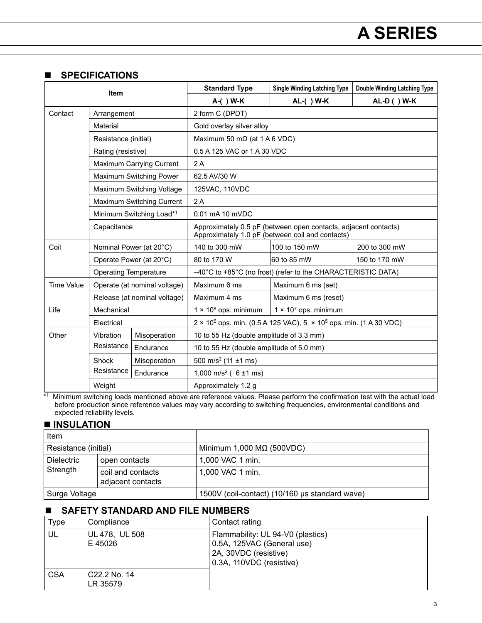### **n** SPECIFICATIONS

| <b>Item</b> |                              |                                                                                                                     | <b>Standard Type</b>                                                                      | <b>Single Winding Latching Type</b> | <b>Double Winding Latching Type</b> |  |  |
|-------------|------------------------------|---------------------------------------------------------------------------------------------------------------------|-------------------------------------------------------------------------------------------|-------------------------------------|-------------------------------------|--|--|
|             |                              |                                                                                                                     | A-() W-K                                                                                  | AL-( ) W-K                          | AL-D ( ) W-K                        |  |  |
| Contact     | Arrangement                  |                                                                                                                     | 2 form C (DPDT)                                                                           |                                     |                                     |  |  |
|             | Material                     |                                                                                                                     | Gold overlay silver alloy                                                                 |                                     |                                     |  |  |
|             | Resistance (initial)         |                                                                                                                     | Maximum 50 m $\Omega$ (at 1 A 6 VDC)                                                      |                                     |                                     |  |  |
|             | Rating (resistive)           |                                                                                                                     | 0.5 A 125 VAC or 1 A 30 VDC                                                               |                                     |                                     |  |  |
|             | Maximum Carrying Current     |                                                                                                                     | 2A                                                                                        |                                     |                                     |  |  |
|             | Maximum Switching Power      |                                                                                                                     | 62.5 AV/30 W                                                                              |                                     |                                     |  |  |
|             | Maximum Switching Voltage    |                                                                                                                     | 125VAC, 110VDC                                                                            |                                     |                                     |  |  |
|             | Maximum Switching Current    |                                                                                                                     | 2A                                                                                        |                                     |                                     |  |  |
|             | Minimum Switching Load*1     |                                                                                                                     | 0.01 mA 10 mVDC                                                                           |                                     |                                     |  |  |
| Capacitance |                              | Approximately 0.5 pF (between open contacts, adjacent contacts)<br>Approximately 1.0 pF (between coil and contacts) |                                                                                           |                                     |                                     |  |  |
| Coil        | Nominal Power (at 20°C)      |                                                                                                                     | 140 to 300 mW                                                                             | 100 to 150 mW                       | 200 to 300 mW                       |  |  |
|             | Operate Power (at 20°C)      |                                                                                                                     | 80 to 170 W                                                                               | 60 to 85 mW                         | 150 to 170 mW                       |  |  |
|             | <b>Operating Temperature</b> |                                                                                                                     | -40°C to +85°C (no frost) (refer to the CHARACTERISTIC DATA)                              |                                     |                                     |  |  |
| Time Value  | Operate (at nominal voltage) |                                                                                                                     | Maximum 6 ms                                                                              | Maximum 6 ms (set)                  |                                     |  |  |
|             | Release (at nominal voltage) |                                                                                                                     | Maximum 4 ms                                                                              | Maximum 6 ms (reset)                |                                     |  |  |
| Life        | Mechanical                   |                                                                                                                     | $1 \times 10^8$ ops. minimum                                                              | $1 \times 10^7$ ops. minimum        |                                     |  |  |
|             | Electrical                   |                                                                                                                     | 2 × 10 <sup>5</sup> ops. min. (0.5 A 125 VAC), 5 × 10 <sup>5</sup> ops. min. (1 A 30 VDC) |                                     |                                     |  |  |
| Other       | Vibration<br>Resistance      | Misoperation                                                                                                        | 10 to 55 Hz (double amplitude of 3.3 mm)                                                  |                                     |                                     |  |  |
|             |                              | Endurance                                                                                                           | 10 to 55 Hz (double amplitude of 5.0 mm)                                                  |                                     |                                     |  |  |
|             | Shock<br>Resistance          | Misoperation                                                                                                        | 500 m/s <sup>2</sup> (11 $\pm$ 1 ms)                                                      |                                     |                                     |  |  |
|             |                              | Endurance                                                                                                           | 1,000 m/s <sup>2</sup> ( $6 \pm 1$ ms)                                                    |                                     |                                     |  |  |
|             | Weight                       |                                                                                                                     | Approximately 1.2 g                                                                       |                                     |                                     |  |  |

\*1 Minimum switching loads mentioned above are reference values. Please perform the confirmation test with the actual load before production since reference values may vary according to switching frequencies, environmental conditions and expected reliability levels.

### $\blacksquare$  **INSULATION**

| Item                 |                                        |                                                |  |
|----------------------|----------------------------------------|------------------------------------------------|--|
| Resistance (initial) |                                        | Minimum 1,000 $M\Omega$ (500VDC)               |  |
| l Dielectric         | open contacts                          | 1,000 VAC 1 min.                               |  |
| Strength             | coil and contacts<br>adjacent contacts | 1,000 VAC 1 min.                               |  |
| Surge Voltage        |                                        | 1500V (coil-contact) (10/160 µs standard wave) |  |

### n **SAFETY STANDARD AND FILE NUMBERS**

| <b>Type</b> | Compliance                | Contact rating                                                                                                       |
|-------------|---------------------------|----------------------------------------------------------------------------------------------------------------------|
| UL          | UL 478, UL 508<br>E 45026 | Flammability: UL 94-V0 (plastics)<br>0.5A, 125VAC (General use)<br>2A, 30VDC (resistive)<br>0.3A, 110VDC (resistive) |
| <b>CSA</b>  | C22.2 No. 14<br>LR 35579  |                                                                                                                      |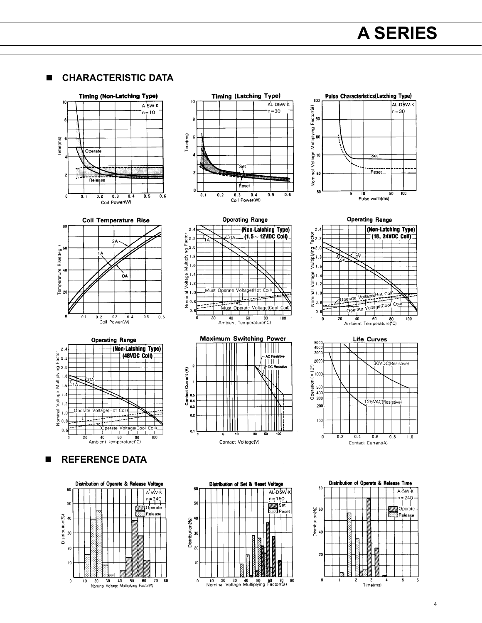$\blacksquare$  **CHARACTERISTIC DATA** 







### **N** REFERENCE DATA















10

Contact Voltage(V)

- I I II I

န် ၈.<br>ပိ

 $_{0.3}$ 

 $_{0.2}$ 

 $0.1\frac{L}{1}$ 





Distribution of Operate & Release Time

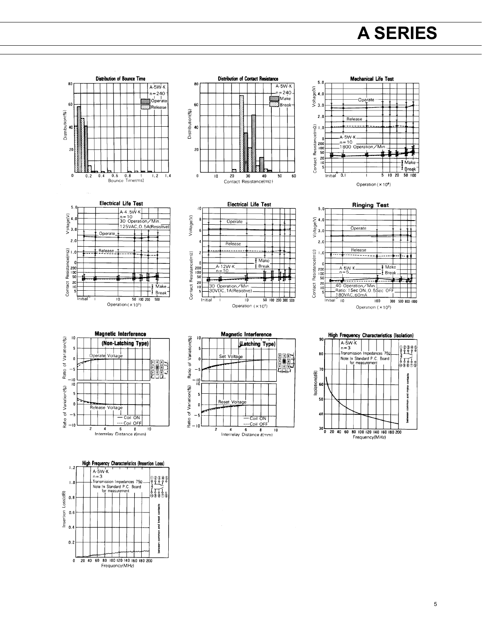## **A SERIES**



ommor

bewee

 $0.\overline{2}$ 

0 20 40 60 80 100 120 140 160 180 200 Frequency(MHz)

5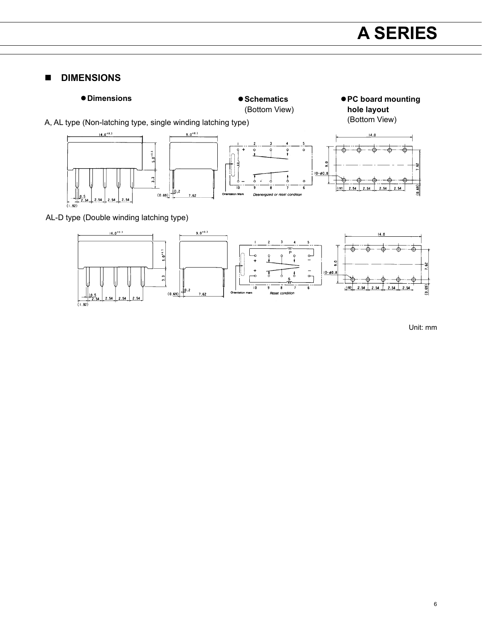### **n** DIMENSIONS





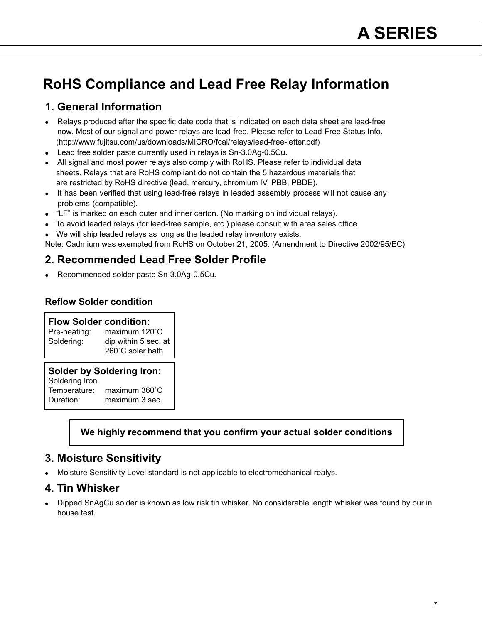### **RoHS Compliance and Lead Free Relay Information**

### **1. General Information**

- Relays produced after the specific date code that is indicated on each data sheet are lead-free now. Most of our signal and power relays are lead-free. Please refer to Lead-Free Status Info. (http://www.fujitsu.com/us/downloads/MICRO/fcai/relays/lead-free-letter.pdf)
- $\bullet$  Lead free solder paste currently used in relays is Sn-3.0Ag-0.5Cu.
- All signal and most power relays also comply with RoHS. Please refer to individual data sheets. Relays that are RoHS compliant do not contain the 5 hazardous materials that are restricted by RoHS directive (lead, mercury, chromium IV, PBB, PBDE).
- It has been verified that using lead-free relays in leaded assembly process will not cause any problems (compatible).
- "LF" is marked on each outer and inner carton. (No marking on individual relays).
- To avoid leaded relays (for lead-free sample, etc.) please consult with area sales office.
- We will ship leaded relays as long as the leaded relay inventory exists.

Note: Cadmium was exempted from RoHS on October 21, 2005. (Amendment to Directive 2002/95/EC)

### **2. Recommended Lead Free Solder Profile**

Recommended solder paste Sn-3.0Ag-0.5Cu.

### **Reflow Solder condition**

**Flow Solder condition:**<br>Pre-heating: maximum 120 maximum 120°C Soldering: dip within 5 sec. at 260˚C soler bath

#### **Solder by Soldering Iron:**

Soldering Iron Temperature: maximum 360°C<br>Duration: maximum 3 sec. maximum 3 sec.

### **We highly recommend that you confirm your actual solder conditions**

### **3. Moisture Sensitivity**

• Moisture Sensitivity Level standard is not applicable to electromechanical realys.

### **4. Tin Whisker**

• Dipped SnAgCu solder is known as low risk tin whisker. No considerable length whisker was found by our in house test.